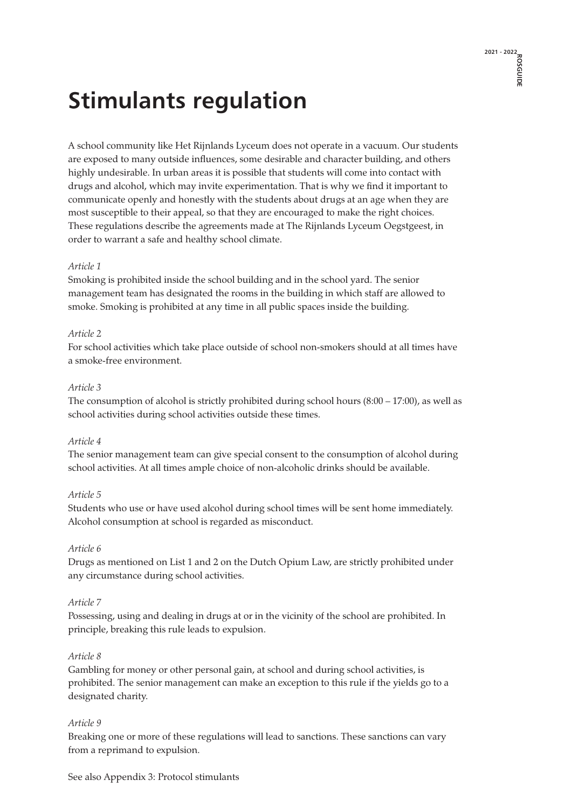### **Stimulants regulation**

A school community like Het Rijnlands Lyceum does not operate in a vacuum. Our students are exposed to many outside influences, some desirable and character building, and others highly undesirable. In urban areas it is possible that students will come into contact with drugs and alcohol, which may invite experimentation. That is why we find it important to communicate openly and honestly with the students about drugs at an age when they are most susceptible to their appeal, so that they are encouraged to make the right choices. These regulations describe the agreements made at The Rijnlands Lyceum Oegstgeest, in order to warrant a safe and healthy school climate.

#### *Article 1*

Smoking is prohibited inside the school building and in the school yard. The senior management team has designated the rooms in the building in which staff are allowed to smoke. Smoking is prohibited at any time in all public spaces inside the building.

#### *Article 2*

For school activities which take place outside of school non-smokers should at all times have a smoke-free environment.

#### *Article 3*

The consumption of alcohol is strictly prohibited during school hours  $(8:00 - 17:00)$ , as well as school activities during school activities outside these times.

#### *Article 4*

The senior management team can give special consent to the consumption of alcohol during school activities. At all times ample choice of non-alcoholic drinks should be available.

#### *Article 5*

Students who use or have used alcohol during school times will be sent home immediately. Alcohol consumption at school is regarded as misconduct.

#### *Article 6*

Drugs as mentioned on List 1 and 2 on the Dutch Opium Law, are strictly prohibited under any circumstance during school activities.

#### *Article 7*

Possessing, using and dealing in drugs at or in the vicinity of the school are prohibited. In principle, breaking this rule leads to expulsion.

#### *Article 8*

Gambling for money or other personal gain, at school and during school activities, is prohibited. The senior management can make an exception to this rule if the yields go to a designated charity.

#### *Article 9*

Breaking one or more of these regulations will lead to sanctions. These sanctions can vary from a reprimand to expulsion.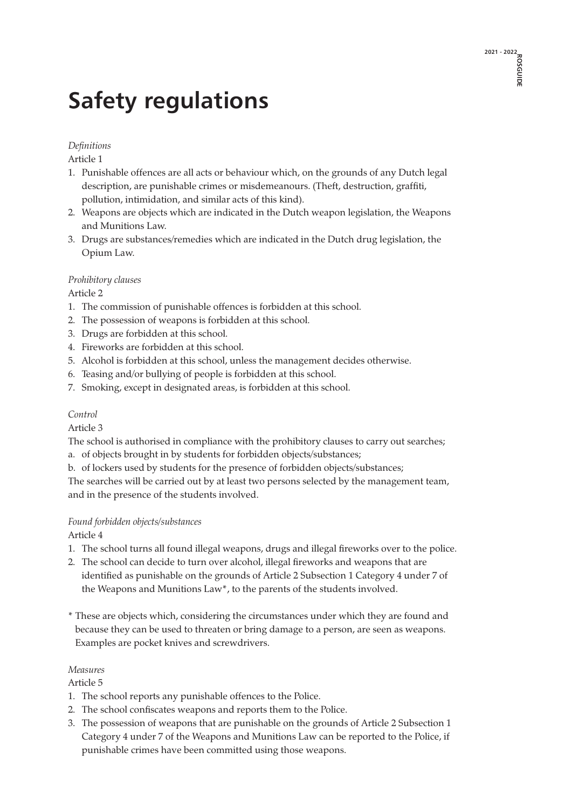## **Safety regulations**

#### *Definitions*

Article 1

- 1. Punishable offences are all acts or behaviour which, on the grounds of any Dutch legal description, are punishable crimes or misdemeanours. (Theft, destruction, graffiti, pollution, intimidation, and similar acts of this kind).
- 2. Weapons are objects which are indicated in the Dutch weapon legislation, the Weapons and Munitions Law.
- 3. Drugs are substances/remedies which are indicated in the Dutch drug legislation, the Opium Law.

#### *Prohibitory clauses*

Article 2

- 1. The commission of punishable offences is forbidden at this school.
- 2. The possession of weapons is forbidden at this school.
- 3. Drugs are forbidden at this school.
- 4. Fireworks are forbidden at this school.
- 5. Alcohol is forbidden at this school, unless the management decides otherwise.
- 6. Teasing and/or bullying of people is forbidden at this school.
- 7. Smoking, except in designated areas, is forbidden at this school.

#### *Control*

Article 3

The school is authorised in compliance with the prohibitory clauses to carry out searches; a. of objects brought in by students for forbidden objects/substances;

b. of lockers used by students for the presence of forbidden objects/substances;

The searches will be carried out by at least two persons selected by the management team, and in the presence of the students involved.

#### *Found forbidden objects/substances*

Article 4

- 1. The school turns all found illegal weapons, drugs and illegal fireworks over to the police.
- 2. The school can decide to turn over alcohol, illegal fireworks and weapons that are identified as punishable on the grounds of Article 2 Subsection 1 Category 4 under 7 of the Weapons and Munitions Law\*, to the parents of the students involved.
- \* These are objects which, considering the circumstances under which they are found and because they can be used to threaten or bring damage to a person, are seen as weapons. Examples are pocket knives and screwdrivers.

#### *Measures*

Article 5

- 1. The school reports any punishable offences to the Police.
- 2. The school confiscates weapons and reports them to the Police.
- 3. The possession of weapons that are punishable on the grounds of Article 2 Subsection 1 Category 4 under 7 of the Weapons and Munitions Law can be reported to the Police, if punishable crimes have been committed using those weapons.